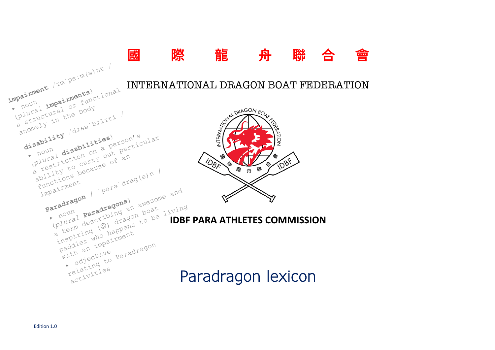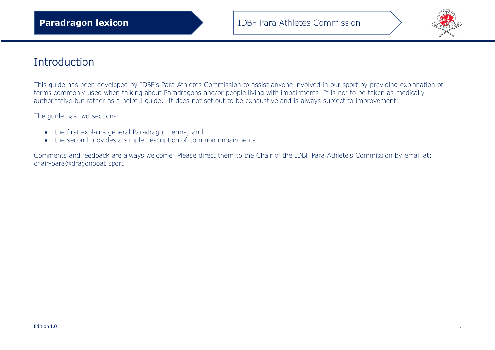

## Introduction

This guide has been developed by IDBF's Para Athletes Commission to assist anyone involved in our sport by providing explanation of terms commonly used when talking about Paradragons and/or people living with impairments. It is not to be taken as medically authoritative but rather as a helpful guide. It does not set out to be exhaustive and is always subject to improvement!

The guide has two sections:

- the first explains general Paradragon terms; and
- the second provides a simple description of common impairments.

Comments and feedback are always welcome! Please direct them to the Chair of the IDBF Para Athlete's Commission by email at: chair-para@dragonboat.sport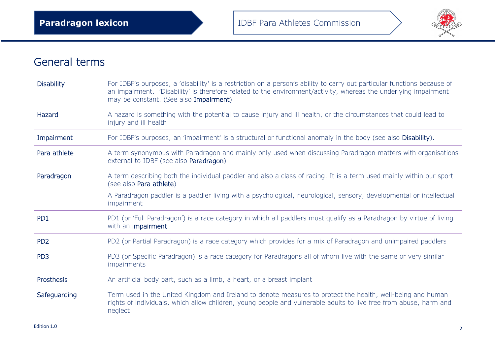

## General terms

| <b>Disability</b> | For IDBF's purposes, a 'disability' is a restriction on a person's ability to carry out particular functions because of<br>an impairment. 'Disability' is therefore related to the environment/activity, whereas the underlying impairment<br>may be constant. (See also Impairment) |
|-------------------|--------------------------------------------------------------------------------------------------------------------------------------------------------------------------------------------------------------------------------------------------------------------------------------|
| Hazard            | A hazard is something with the potential to cause injury and ill health, or the circumstances that could lead to<br>injury and ill health                                                                                                                                            |
| Impairment        | For IDBF's purposes, an 'impairment' is a structural or functional anomaly in the body (see also Disability).                                                                                                                                                                        |
| Para athlete      | A term synonymous with Paradragon and mainly only used when discussing Paradragon matters with organisations<br>external to IDBF (see also Paradragon)                                                                                                                               |
| Paradragon        | A term describing both the individual paddler and also a class of racing. It is a term used mainly within our sport<br>(see also Para athlete)                                                                                                                                       |
|                   | A Paradragon paddler is a paddler living with a psychological, neurological, sensory, developmental or intellectual<br>impairment                                                                                                                                                    |
| PD <sub>1</sub>   | PD1 (or 'Full Paradragon') is a race category in which all paddlers must qualify as a Paradragon by virtue of living<br>with an impairment                                                                                                                                           |
| PD <sub>2</sub>   | PD2 (or Partial Paradragon) is a race category which provides for a mix of Paradragon and unimpaired paddlers                                                                                                                                                                        |
| PD <sub>3</sub>   | PD3 (or Specific Paradragon) is a race category for Paradragons all of whom live with the same or very similar<br>impairments                                                                                                                                                        |
| Prosthesis        | An artificial body part, such as a limb, a heart, or a breast implant                                                                                                                                                                                                                |
| Safeguarding      | Term used in the United Kingdom and Ireland to denote measures to protect the health, well-being and human<br>rights of individuals, which allow children, young people and vulnerable adults to live free from abuse, harm and<br>neglect                                           |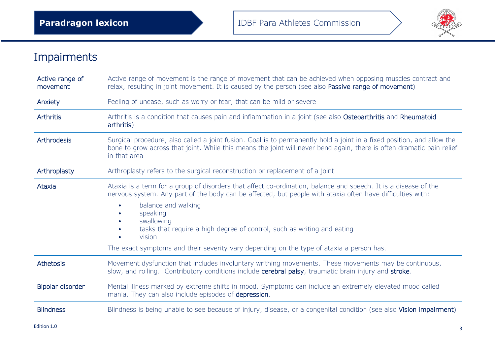

## Impairments

| Active range of<br>movement | Active range of movement is the range of movement that can be achieved when opposing muscles contract and<br>relax, resulting in joint movement. It is caused by the person (see also Passive range of movement)                                                                                                                                                                                                                                                |
|-----------------------------|-----------------------------------------------------------------------------------------------------------------------------------------------------------------------------------------------------------------------------------------------------------------------------------------------------------------------------------------------------------------------------------------------------------------------------------------------------------------|
| Anxiety                     | Feeling of unease, such as worry or fear, that can be mild or severe                                                                                                                                                                                                                                                                                                                                                                                            |
| <b>Arthritis</b>            | Arthritis is a condition that causes pain and inflammation in a joint (see also Osteoarthritis and Rheumatoid<br>arthritis)                                                                                                                                                                                                                                                                                                                                     |
| Arthrodesis                 | Surgical procedure, also called a joint fusion. Goal is to permanently hold a joint in a fixed position, and allow the<br>bone to grow across that joint. While this means the joint will never bend again, there is often dramatic pain relief<br>in that area                                                                                                                                                                                                 |
| Arthroplasty                | Arthroplasty refers to the surgical reconstruction or replacement of a joint                                                                                                                                                                                                                                                                                                                                                                                    |
| Ataxia                      | Ataxia is a term for a group of disorders that affect co-ordination, balance and speech. It is a disease of the<br>nervous system. Any part of the body can be affected, but people with ataxia often have difficulties with:<br>balance and walking<br>speaking<br>swallowing<br>tasks that require a high degree of control, such as writing and eating<br>vision<br>The exact symptoms and their severity vary depending on the type of ataxia a person has. |
| Athetosis                   | Movement dysfunction that includes involuntary writhing movements. These movements may be continuous,<br>slow, and rolling. Contributory conditions include cerebral palsy, traumatic brain injury and stroke.                                                                                                                                                                                                                                                  |
| Bipolar disorder            | Mental illness marked by extreme shifts in mood. Symptoms can include an extremely elevated mood called<br>mania. They can also include episodes of depression.                                                                                                                                                                                                                                                                                                 |
| <b>Blindness</b>            | Blindness is being unable to see because of injury, disease, or a congenital condition (see also Vision impairment)                                                                                                                                                                                                                                                                                                                                             |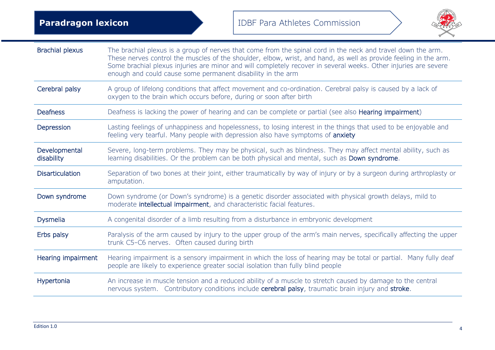

| <b>Brachial plexus</b>      | The brachial plexus is a group of nerves that come from the spinal cord in the neck and travel down the arm.<br>These nerves control the muscles of the shoulder, elbow, wrist, and hand, as well as provide feeling in the arm.<br>Some brachial plexus injuries are minor and will completely recover in several weeks. Other injuries are severe<br>enough and could cause some permanent disability in the arm |
|-----------------------------|--------------------------------------------------------------------------------------------------------------------------------------------------------------------------------------------------------------------------------------------------------------------------------------------------------------------------------------------------------------------------------------------------------------------|
| Cerebral palsy              | A group of lifelong conditions that affect movement and co-ordination. Cerebral palsy is caused by a lack of<br>oxygen to the brain which occurs before, during or soon after birth                                                                                                                                                                                                                                |
| <b>Deafness</b>             | Deafness is lacking the power of hearing and can be complete or partial (see also Hearing impairment)                                                                                                                                                                                                                                                                                                              |
| Depression                  | Lasting feelings of unhappiness and hopelessness, to losing interest in the things that used to be enjoyable and<br>feeling very tearful. Many people with depression also have symptoms of anxiety                                                                                                                                                                                                                |
| Developmental<br>disability | Severe, long-term problems. They may be physical, such as blindness. They may affect mental ability, such as<br>learning disabilities. Or the problem can be both physical and mental, such as Down syndrome.                                                                                                                                                                                                      |
| <b>Disarticulation</b>      | Separation of two bones at their joint, either traumatically by way of injury or by a surgeon during arthroplasty or<br>amputation.                                                                                                                                                                                                                                                                                |
| Down syndrome               | Down syndrome (or Down's syndrome) is a genetic disorder associated with physical growth delays, mild to<br>moderate intellectual impairment, and characteristic facial features.                                                                                                                                                                                                                                  |
| Dysmelia                    | A congenital disorder of a limb resulting from a disturbance in embryonic development                                                                                                                                                                                                                                                                                                                              |
| Erbs palsy                  | Paralysis of the arm caused by injury to the upper group of the arm's main nerves, specifically affecting the upper<br>trunk C5-C6 nerves. Often caused during birth                                                                                                                                                                                                                                               |
| Hearing impairment          | Hearing impairment is a sensory impairment in which the loss of hearing may be total or partial. Many fully deaf<br>people are likely to experience greater social isolation than fully blind people                                                                                                                                                                                                               |
| Hypertonia                  | An increase in muscle tension and a reduced ability of a muscle to stretch caused by damage to the central<br>nervous system. Contributory conditions include cerebral palsy, traumatic brain injury and stroke.                                                                                                                                                                                                   |
|                             |                                                                                                                                                                                                                                                                                                                                                                                                                    |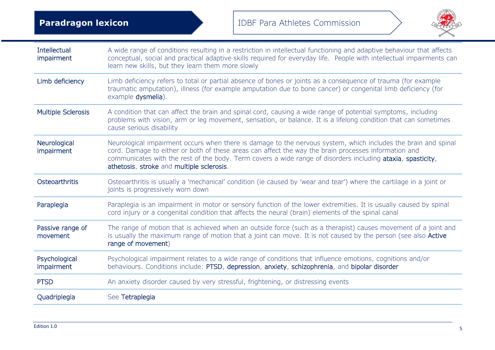

| <b>Intellectual</b><br>impairment | A wide range of conditions resulting in a restriction in intellectual functioning and adaptive behaviour that affects<br>conceptual, social and practical adaptive skills required for everyday life. People with intellectual impairments can<br>learn new skills, but they learn them more slowly                                                                                |
|-----------------------------------|------------------------------------------------------------------------------------------------------------------------------------------------------------------------------------------------------------------------------------------------------------------------------------------------------------------------------------------------------------------------------------|
| Limb deficiency                   | Limb deficiency refers to total or partial absence of bones or joints as a consequence of trauma (for example<br>traumatic amputation), illness (for example amputation due to bone cancer) or congenital limb deficiency (for<br>example dysmelia).                                                                                                                               |
| <b>Multiple Sclerosis</b>         | A condition that can affect the brain and spinal cord, causing a wide range of potential symptoms, including<br>problems with vision, arm or leg movement, sensation, or balance. It is a lifelong condition that can sometimes<br>cause serious disability                                                                                                                        |
| Neurological<br>impairment        | Neurological impairment occurs when there is damage to the nervous system, which includes the brain and spinal<br>cord. Damage to either or both of these areas can affect the way the brain processes information and<br>communicates with the rest of the body. Term covers a wide range of disorders including ataxia, spasticity,<br>athetosis, stroke and multiple sclerosis. |
| Osteoarthritis                    | Osteoarthritis is usually a 'mechanical' condition (ie caused by 'wear and tear') where the cartilage in a joint or<br>joints is progressively worn down                                                                                                                                                                                                                           |
| Paraplegia                        | Paraplegia is an impairment in motor or sensory function of the lower extremities. It is usually caused by spinal<br>cord injury or a congenital condition that affects the neural (brain) elements of the spinal canal                                                                                                                                                            |
| Passive range of<br>movement      | The range of motion that is achieved when an outside force (such as a therapist) causes movement of a joint and<br>is usually the maximum range of motion that a joint can move. It is not caused by the person (see also Active<br>range of movement)                                                                                                                             |
| Psychological<br>impairment       | Psychological impairment relates to a wide range of conditions that influence emotions, cognitions and/or<br>behaviours. Conditions include: PTSD, depression, anxiety, schizophrenia, and bipolar disorder                                                                                                                                                                        |
| <b>PTSD</b>                       | An anxiety disorder caused by very stressful, frightening, or distressing events                                                                                                                                                                                                                                                                                                   |
| Quadriplegia                      | See Tetraplegia                                                                                                                                                                                                                                                                                                                                                                    |